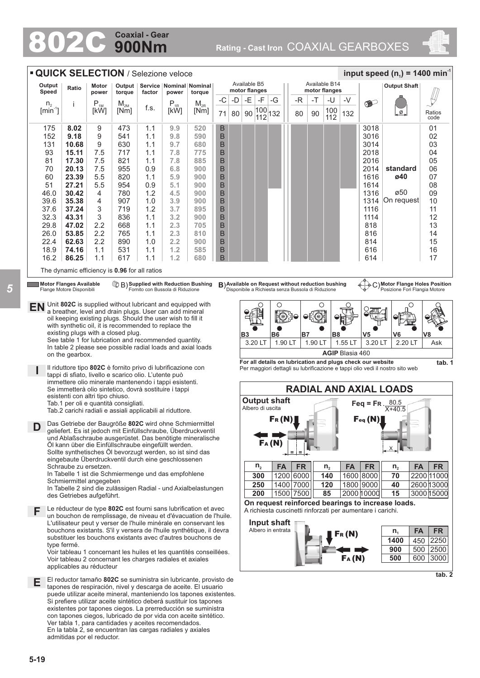# **900Nm Coaxial - Gear**

802C **Rating - Cast Iron** COAXIAL GEARBOXES